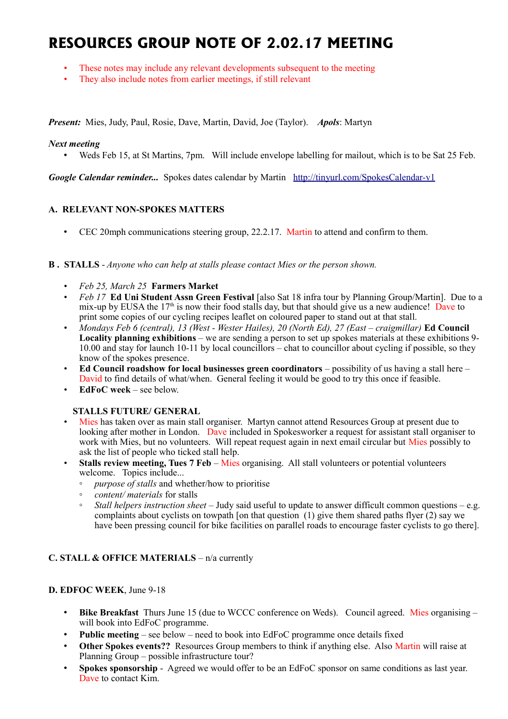# **RESOURCES GROUP NOTE OF 2.02.17 MEETING**

- These notes may include any relevant developments subsequent to the meeting
- They also include notes from earlier meetings, if still relevant

*Present:* Mies, Judy, Paul, Rosie, Dave, Martin, David, Joe (Taylor). *Apols*: Martyn

## *Next meeting*

• Weds Feb 15, at St Martins, 7pm. Will include envelope labelling for mailout, which is to be Sat 25 Feb.

*Google Calendar reminder...* Spokes dates calendar by Martin <http://tinyurl.com/SpokesCalendar-v1>

# **A. RELEVANT NON-SPOKES MATTERS**

• CEC 20mph communications steering group, 22.2.17. Martin to attend and confirm to them.

### **B . STALLS** - *Anyone who can help at stalls please contact Mies or the person shown.*

- *Feb 25, March 25* **Farmers Market**
- *Feb 17* **Ed Uni Student Assn Green Festival** [also Sat 18 infra tour by Planning Group/Martin]. Due to a mix-up by EUSA the  $17<sup>th</sup>$  is now their food stalls day, but that should give us a new audience! Dave to print some copies of our cycling recipes leaflet on coloured paper to stand out at that stall.
- *Mondays Feb 6 (central), 13 (West Wester Hailes), 20 (North Ed), 27 (East craigmillar)* **Ed Council Locality planning exhibitions** – we are sending a person to set up spokes materials at these exhibitions 9- 10.00 and stay for launch 10-11 by local councillors – chat to councillor about cycling if possible, so they know of the spokes presence.
- **Ed Council roadshow for local businesses green coordinators** possibility of us having a stall here David to find details of what/when. General feeling it would be good to try this once if feasible.
- **EdFoC week** see below.

### **STALLS FUTURE/ GENERAL**

- Mies has taken over as main stall organiser. Martyn cannot attend Resources Group at present due to looking after mother in London. Dave included in Spokesworker a request for assistant stall organiser to work with Mies, but no volunteers. Will repeat request again in next email circular but Mies possibly to ask the list of people who ticked stall help.
- **Stalls review meeting, Tues 7 Feb**  Mies organising. All stall volunteers or potential volunteers welcome. Topics include...
	- *purpose of stalls* and whether/how to prioritise
	- *content/ materials* for stalls
	- *Stall helpers instruction sheet*  Judy said useful to update to answer difficult common questions e.g. complaints about cyclists on towpath [on that question  $(1)$  give them shared paths flyer  $(2)$  say we have been pressing council for bike facilities on parallel roads to encourage faster cyclists to go there].

# **C. STALL & OFFICE MATERIALS** – n/a currently

### **D. EDFOC WEEK**, June 9-18

- **Bike Breakfast** Thurs June 15 (due to WCCC conference on Weds). Council agreed. Mies organising will book into EdFoC programme.
- **Public meeting** see below need to book into EdFoC programme once details fixed
- **Other Spokes events??** Resources Group members to think if anything else. Also Martin will raise at Planning Group – possible infrastructure tour?
- **Spokes sponsorship** Agreed we would offer to be an EdFoC sponsor on same conditions as last year. Dave to contact Kim.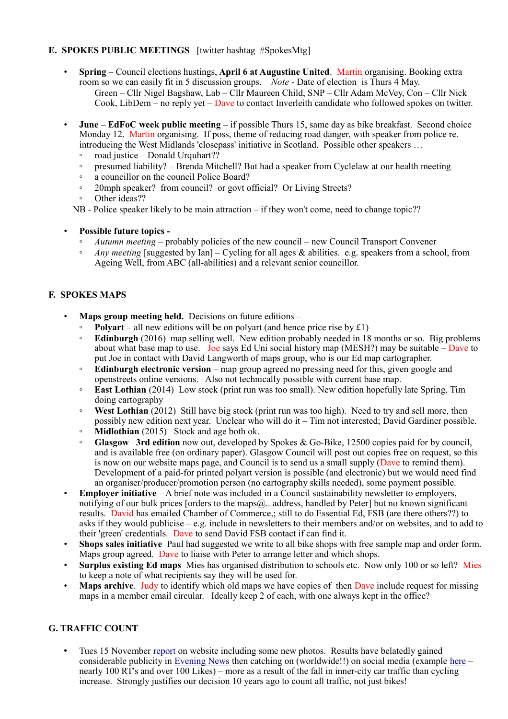# **E. SPOKES PUBLIC MEETINGS** [twitter hashtag #SpokesMtg]

- **Spring** Council elections hustings, **April 6 at Augustine United**. Martin organising. Booking extra room so we can easily fit in 5 discussion groups. *Note* - Date of election is Thurs 4 May. Green – Cllr Nigel Bagshaw, Lab – Cllr Maureen Child, SNP – Cllr Adam McVey, Con – Cllr Nick Cook, LibDem – no reply yet – Dave to contact Inverleith candidate who followed spokes on twitter.
- **June EdFoC week public meeting** if possible Thurs 15, same day as bike breakfast. Second choice Monday 12. Martin organising. If poss, theme of reducing road danger, with speaker from police re. introducing the West Midlands 'closepass' initiative in Scotland. Possible other speakers …
	- road justice Donald Urquhart??
	- presumed liability? Brenda Mitchell? But had a speaker from Cyclelaw at our health meeting
	- a councillor on the council Police Board?
	- 20mph speaker? from council? or govt official? Or Living Streets?
	- Other ideas??

NB - Police speaker likely to be main attraction – if they won't come, need to change topic??

- **Possible future topics -**
	- *Autumn meeting* probably policies of the new council new Council Transport Convener
	- *Any meeting* [suggested by Ian] Cycling for all ages & abilities. e.g. speakers from a school, from Ageing Well, from ABC (all-abilities) and a relevant senior councillor.

## **F. SPOKES MAPS**

- **Maps group meeting held.** Decisions on future editions
	- **Polyart** all new editions will be on polyart (and hence price rise by  $£1)$ )
	- **Edinburgh** (2016) map selling well. New edition probably needed in 18 months or so. Big problems about what base map to use. Joe says Ed Uni social history map (MESH?) may be suitable  $-\sqrt{2}$  Dave to put Joe in contact with David Langworth of maps group, who is our Ed map cartographer.
	- **Edinburgh electronic version** map group agreed no pressing need for this, given google and openstreets online versions. Also not technically possible with current base map.
	- **East Lothian** (2014) Low stock (print run was too small). New edition hopefully late Spring, Tim doing cartography
	- **West Lothian** (2012) Still have big stock (print run was too high). Need to try and sell more, then possibly new edition next year. Unclear who will do it – Tim not interested; David Gardiner possible.
	- **Midlothian** (2015) Stock and age both ok.
	- **Glasgow 3rd edition** now out, developed by Spokes & Go-Bike, 12500 copies paid for by council, and is available free (on ordinary paper). Glasgow Council will post out copies free on request, so this is now on our website maps page, and Council is to send us a small supply  $(Da)$  to remind them). Development of a paid-for printed polyart version is possible (and electronic) but we would need find an organiser/producer/promotion person (no cartography skills needed), some payment possible.
- **Employer initiative** A brief note was included in a Council sustainability newsletter to employers, notifying of our bulk prices [orders to the maps@.. address, handled by Peter] but no known significant results. David has emailed Chamber of Commerce,; still to do Essential Ed, FSB (are there others??) to asks if they would publicise – e.g. include in newsletters to their members and/or on websites, and to add to their 'green' credentials. Dave to send David FSB contact if can find it.
- **Shops sales initiative** Paul had suggested we write to all bike shops with free sample map and order form. Maps group agreed. Dave to liaise with Peter to arrange letter and which shops.
- **Surplus existing Ed maps** Mies has organised distribution to schools etc. Now only 100 or so left? Mies to keep a note of what recipients say they will be used for.
- **Maps archive**. Judy to identify which old maps we have copies of then Dave include request for missing maps in a member email circular. Ideally keep 2 of each, with one always kept in the office?

# **G. TRAFFIC COUNT**

• Tues 15 November [report](http://www.spokes.org.uk/2016/11/traffic-count-highest-ever-november-bike/) on website including some new photos. Results have belatedly gained considerable publicity in [Evening News](http://www.edinburghnews.scotsman.com/news/transport/huge-drop-in-cars-using-edinburgh-city-centre-1-4330045) then catching on (worldwide!!) on social media (example [here](https://twitter.com/DarrenDavis10/status/816356450779873280) – nearly 100 RT's and over 100 Likes) – more as a result of the fall in inner-city car traffic than cycling increase. Strongly justifies our decision 10 years ago to count all traffic, not just bikes!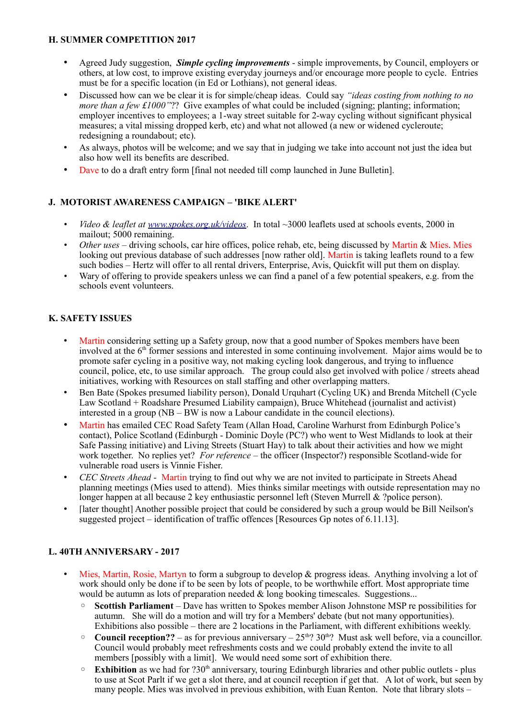# **H. SUMMER COMPETITION 2017**

- Agreed Judy suggestion, *Simple cycling improvements* simple improvements, by Council, employers or others, at low cost, to improve existing everyday journeys and/or encourage more people to cycle. Entries must be for a specific location (in Ed or Lothians), not general ideas.
- Discussed how can we be clear it is for simple/cheap ideas. Could say *"ideas costing from nothing to no more than a few £1000"*?? Give examples of what could be included (signing; planting; information; employer incentives to employees; a 1-way street suitable for 2-way cycling without significant physical measures; a vital missing dropped kerb, etc) and what not allowed (a new or widened cycleroute; redesigning a roundabout; etc).
- As always, photos will be welcome; and we say that in judging we take into account not just the idea but also how well its benefits are described.
- Dave to do a draft entry form [final not needed till comp launched in June Bulletin].

# **J. MOTORIST AWARENESS CAMPAIGN – 'BIKE ALERT'**

- *Video & leaflet at [www.spokes.org.uk/videos](http://www.spokes.org.uk/videos)*. In total ~3000 leaflets used at schools events, 2000 in mailout; 5000 remaining.
- *Other uses* driving schools, car hire offices, police rehab, etc, being discussed by Martin & Mies. Mies looking out previous database of such addresses [now rather old]. Martin is taking leaflets round to a few such bodies – Hertz will offer to all rental drivers, Enterprise, Avis, Quickfit will put them on display.
- Wary of offering to provide speakers unless we can find a panel of a few potential speakers, e.g. from the schools event volunteers.

# **K. SAFETY ISSUES**

- Martin considering setting up a Safety group, now that a good number of Spokes members have been involved at the  $6<sup>th</sup>$  former sessions and interested in some continuing involvement. Major aims would be to promote safer cycling in a positive way, not making cycling look dangerous, and trying to influence council, police, etc, to use similar approach. The group could also get involved with police / streets ahead initiatives, working with Resources on stall staffing and other overlapping matters.
- Ben Bate (Spokes presumed liability person), Donald Urquhart (Cycling UK) and Brenda Mitchell (Cycle Law Scotland + Roadshare Presumed Liability campaign), Bruce Whitehead (journalist and activist) interested in a group (NB – BW is now a Labour candidate in the council elections).
- Martin has emailed CEC Road Safety Team (Allan Hoad, Caroline Warhurst from Edinburgh Police's contact), Police Scotland (Edinburgh - Dominic Doyle (PC?) who went to West Midlands to look at their Safe Passing initiative) and Living Streets (Stuart Hay) to talk about their activities and how we might work together. No replies yet? *For reference* – the officer (Inspector?) responsible Scotland-wide for vulnerable road users is Vinnie Fisher.
- *CEC Streets Ahead* Martin trying to find out why we are not invited to participate in Streets Ahead planning meetings (Mies used to attend). Mies thinks similar meetings with outside representation may no longer happen at all because 2 key enthusiastic personnel left (Steven Murrell & ?police person).
- [later thought] Another possible project that could be considered by such a group would be Bill Neilson's suggested project – identification of traffic offences [Resources Gp notes of 6.11.13].

# **L. 40TH ANNIVERSARY - 2017**

- Mies, Martin, Rosie, Martyn to form a subgroup to develop & progress ideas. Anything involving a lot of work should only be done if to be seen by lots of people, to be worthwhile effort. Most appropriate time would be autumn as lots of preparation needed  $\&$  long booking timescales. Suggestions...
	- **Scottish Parliament**  Dave has written to Spokes member Alison Johnstone MSP re possibilities for autumn. She will do a motion and will try for a Members' debate (but not many opportunities). Exhibitions also possible – there are 2 locations in the Parliament, with different exhibitions weekly.
	- $\degree$  **Council reception??** as for previous anniversary 25<sup>th</sup>? 30<sup>th</sup>? Must ask well before, via a councillor. Council would probably meet refreshments costs and we could probably extend the invite to all members [possibly with a limit]. We would need some sort of exhibition there.
	- **Exhibition** as we had for ?30th anniversary, touring Edinburgh libraries and other public outlets plus to use at Scot Parlt if we get a slot there, and at council reception if get that. A lot of work, but seen by many people. Mies was involved in previous exhibition, with Euan Renton. Note that library slots –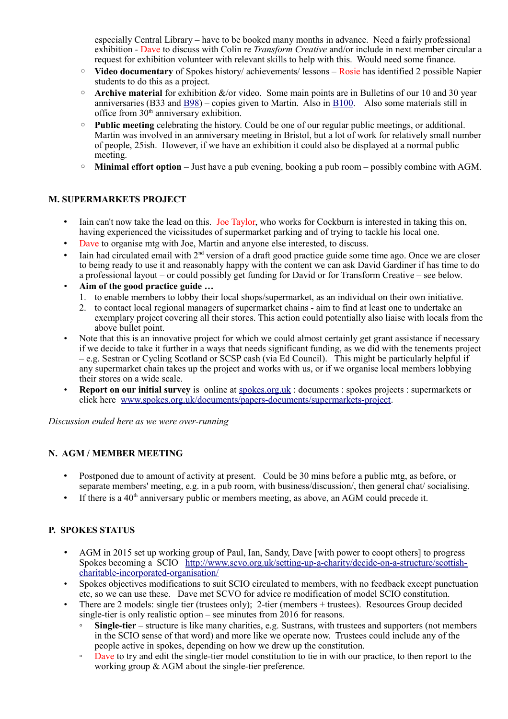especially Central Library – have to be booked many months in advance. Need a fairly professional exhibition - Dave to discuss with Colin re *Transform Creative* and/or include in next member circular a request for exhibition volunteer with relevant skills to help with this. Would need some finance.

- **Video documentary** of Spokes history/ achievements/ lessons Rosie has identified 2 possible Napier students to do this as a project.
- **Archive material** for exhibition &/or video. Some main points are in Bulletins of our 10 and 30 year anniversaries (B33 and  $\underline{B98}$ ) – copies given to Martin. Also in  $\underline{B100}$ . Also some materials still in office from  $30<sup>th</sup>$  anniversary exhibition.
- **Public meeting** celebrating the history. Could be one of our regular public meetings, or additional. Martin was involved in an anniversary meeting in Bristol, but a lot of work for relatively small number of people, 25ish. However, if we have an exhibition it could also be displayed at a normal public meeting.
- **Minimal effort option** Just have a pub evening, booking a pub room possibly combine with AGM.

## **M. SUPERMARKETS PROJECT**

- Iain can't now take the lead on this. Joe Taylor, who works for Cockburn is interested in taking this on, having experienced the vicissitudes of supermarket parking and of trying to tackle his local one.
- Dave to organise mtg with Joe, Martin and anyone else interested, to discuss.
- Iain had circulated email with 2<sup>nd</sup> version of a draft good practice guide some time ago. Once we are closer to being ready to use it and reasonably happy with the content we can ask David Gardiner if has time to do a professional layout – or could possibly get funding for David or for Transform Creative – see below.
- **Aim of the good practice guide …**
	- 1. to enable members to lobby their local shops/supermarket, as an individual on their own initiative.
	- 2. to contact local regional managers of supermarket chains aim to find at least one to undertake an exemplary project covering all their stores. This action could potentially also liaise with locals from the above bullet point.
- Note that this is an innovative project for which we could almost certainly get grant assistance if necessary if we decide to take it further in a ways that needs significant funding, as we did with the tenements project – e.g. Sestran or Cycling Scotland or SCSP cash (via Ed Council). This might be particularly helpful if any supermarket chain takes up the project and works with us, or if we organise local members lobbying their stores on a wide scale.
- **Report on our initial survey** is online at [spokes.org.uk](http://spokes.org.uk/) : documents : spokes projects : supermarkets or click here [www.spokes.org.uk/documents/papers-documents/supermarkets-project.](http://www.spokes.org.uk/documents/papers-documents/supermarkets-project)

*Discussion ended here as we were over-running*

## **N. AGM / MEMBER MEETING**

- Postponed due to amount of activity at present. Could be 30 mins before a public mtg, as before, or separate members' meeting, e.g. in a pub room, with business/discussion/, then general chat/ socialising.
- If there is a  $40<sup>th</sup>$  anniversary public or members meeting, as above, an AGM could precede it.

# **P. SPOKES STATUS**

- AGM in 2015 set up working group of Paul, Ian, Sandy, Dave [with power to coopt others] to progress Spokes becoming a SCIO [http://www.scvo.org.uk/setting-up-a-charity/decide-on-a-structure/scottish](http://www.scvo.org.uk/setting-up-a-charity/decide-on-a-structure/scottish-charitable-incorporated-organisation/)[charitable-incorporated-organisation/](http://www.scvo.org.uk/setting-up-a-charity/decide-on-a-structure/scottish-charitable-incorporated-organisation/)
- Spokes objectives modifications to suit SCIO circulated to members, with no feedback except punctuation etc, so we can use these. Dave met SCVO for advice re modification of model SCIO constitution.
- There are 2 models: single tier (trustees only); 2-tier (members + trustees). Resources Group decided single-tier is only realistic option – see minutes from 2016 for reasons.
	- **Single-tier** structure is like many charities, e.g. Sustrans, with trustees and supporters (not members) in the SCIO sense of that word) and more like we operate now. Trustees could include any of the people active in spokes, depending on how we drew up the constitution.
	- Dave to try and edit the single-tier model constitution to tie in with our practice, to then report to the working group & AGM about the single-tier preference.